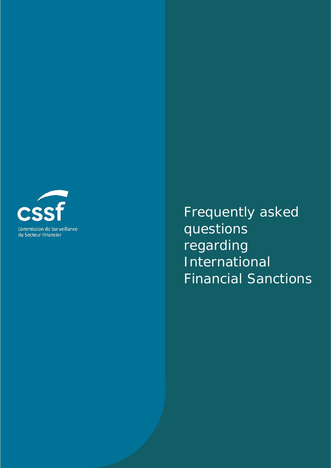

Frequently asked questions regarding International Financial Sanctions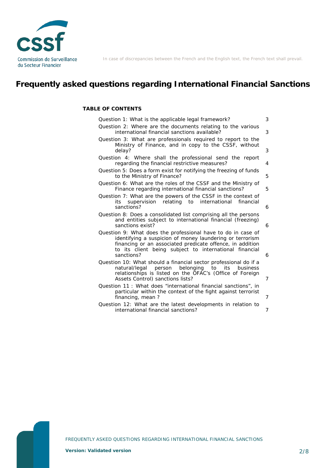

In case of discrepancies between the French and the English text, the French text shall prevail.

# **Frequently asked questions regarding International Financial Sanctions**

**TABLE OF CONTENTS**

| Question 1: What is the applicable legal framework?                                                                                                                                                                                                           | 3              |
|---------------------------------------------------------------------------------------------------------------------------------------------------------------------------------------------------------------------------------------------------------------|----------------|
| Question 2: Where are the documents relating to the various<br>international financial sanctions available?                                                                                                                                                   | 3              |
| Question 3: What are professionals required to report to the<br>Ministry of Finance, and in copy to the CSSF, without<br>delay?                                                                                                                               | 3              |
| Question 4: Where shall the professional send the report<br>regarding the financial restrictive measures?                                                                                                                                                     | 4              |
| Question 5: Does a form exist for notifying the freezing of funds<br>to the Ministry of Finance?                                                                                                                                                              | 5              |
| Question 6: What are the roles of the CSSF and the Ministry of<br>Finance regarding international financial sanctions?                                                                                                                                        | 5              |
| Question 7: What are the powers of the CSSF in the context of<br>supervision relating to international<br>financial<br>its<br>sanctions?                                                                                                                      | 6              |
| Question 8: Does a consolidated list comprising all the persons<br>and entities subject to international financial (freezing)<br>sanctions exist?                                                                                                             | 6              |
| Question 9: What does the professional have to do in case of<br>identifying a suspicion of money laundering or terrorism<br>financing or an associated predicate offence, in addition<br>to its client being subject to international financial<br>sanctions? | 6              |
| Question 10: What should a financial sector professional do if a<br>natural/legal person belonging<br>to<br>its<br>business<br>relationships is listed on the OFAC's (Office of Foreign<br>Assets Control) sanctions lists?                                   | $\overline{7}$ |
| Question 11: What does "international financial sanctions", in<br>particular within the context of the fight against terrorist<br>financing, mean?                                                                                                            | 7              |
| Question 12: What are the latest developments in relation to<br>international financial sanctions?                                                                                                                                                            | 7              |

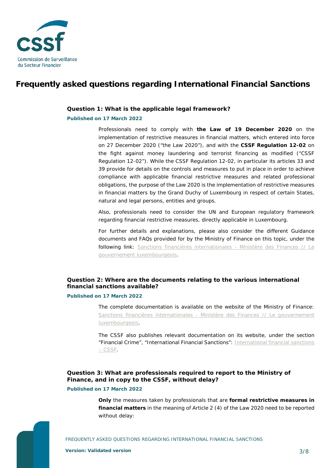

## **Frequently asked questions regarding International Financial Sanctions**

#### <span id="page-2-0"></span>**Question 1: What is the applicable legal framework?**

#### **Published on 17 March 2022**

Professionals need to comply with **the Law of 19 December 2020** on the implementation of restrictive measures in financial matters, which entered into force on 27 December 2020 ("the Law 2020"), and with the **CSSF Regulation 12-02** on the fight against money laundering and terrorist financing as modified ("CSSF Regulation 12-02"). While the CSSF Regulation 12-02, in particular its articles 33 and 39 provide for details on the controls and measures to put in place in order to achieve compliance with applicable financial restrictive measures and related professional obligations, the purpose of the Law 2020 is the implementation of restrictive measures in financial matters by the Grand Duchy of Luxembourg in respect of certain States, natural and legal persons, entities and groups.

Also, professionals need to consider the UN and European regulatory framework regarding financial restrictive measures, directly applicable in Luxembourg.

For further details and explanations, please also consider the different Guidance documents and FAQs provided for by the Ministry of Finance on this topic, under the following link: [Sanctions financières internationales -](https://mfin.gouvernement.lu/fr/dossiers/2018/sanctions-financiaires-internationales.html) Ministère des Finances // Le [gouvernement luxembourgeois.](https://mfin.gouvernement.lu/fr/dossiers/2018/sanctions-financiaires-internationales.html)

### <span id="page-2-1"></span>**Question 2: Where are the documents relating to the various international financial sanctions available?**

#### **Published on 17 March 2022**

The complete documentation is available on the website of the Ministry of Finance: Sanctions financières internationales - [Ministère des Finances // Le gouvernement](https://mfin.gouvernement.lu/fr/dossiers/2018/sanctions-financiaires-internationales.html)  [luxembourgeois.](https://mfin.gouvernement.lu/fr/dossiers/2018/sanctions-financiaires-internationales.html)

The CSSF also publishes relevant documentation on its website, under the section "Financial Crime", "International Financial Sanctions": [International financial sanctions](https://www.cssf.lu/en/international-financial-sanctions/)  – [CSSF.](https://www.cssf.lu/en/international-financial-sanctions/)

### <span id="page-2-2"></span>**Question 3: What are professionals required to report to the Ministry of Finance, and in copy to the CSSF, without delay?**

### **Published on 17 March 2022**

**Only** the measures taken by professionals that are **formal restrictive measures in financial matters** in the meaning of Article 2 (4) of the Law 2020 need to be reported without delay: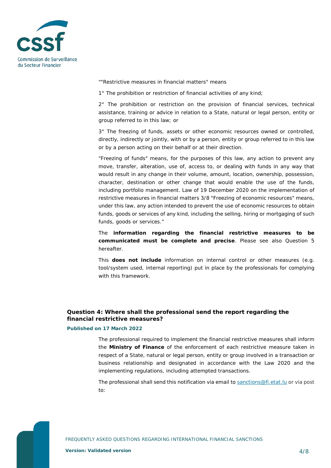

*""Restrictive measures in financial matters" means* 

*1° The prohibition or restriction of financial activities of any kind;* 

*2° The prohibition or restriction on the provision of financial services, technical assistance, training or advice in relation to a State, natural or legal person, entity or group referred to in this law; or* 

*3° The freezing of funds, assets or other economic resources owned or controlled, directly, indirectly or jointly, with or by a person, entity or group referred to in this law or by a person acting on their behalf or at their direction.* 

*"Freezing of funds" means, for the purposes of this law, any action to prevent any move, transfer, alteration, use of, access to, or dealing with funds in any way that would result in any change in their volume, amount, location, ownership, possession, character, destination or other change that would enable the use of the funds,*  including portfolio management. Law of 19 December 2020 on the implementation of *restrictive measures in financial matters 3/8 "Freezing of economic resources" means, under this law, any action intended to prevent the use of economic resources to obtain funds, goods or services of any kind, including the selling, hiring or mortgaging of such funds, goods or services."*

The **information regarding the financial restrictive measures to be communicated must be complete and precise**. Please see also Question 5 hereafter.

This **does not include** information on internal control or other measures (e.g. tool/system used, internal reporting) put in place by the professionals for complying with this framework.

### <span id="page-3-0"></span>**Question 4: Where shall the professional send the report regarding the financial restrictive measures?**

### **Published on 17 March 2022**

The professional required to implement the financial restrictive measures shall inform the **Ministry of Finance** of the enforcement of each restrictive measure taken in respect of a State, natural or legal person, entity or group involved in a transaction or business relationship and designated in accordance with the Law 2020 and the implementing regulations, including attempted transactions.

The professional shall send this notification via email t[o sanctions@fi.etat.lu](mailto:sanctions@fi.etat.lu) or via post to: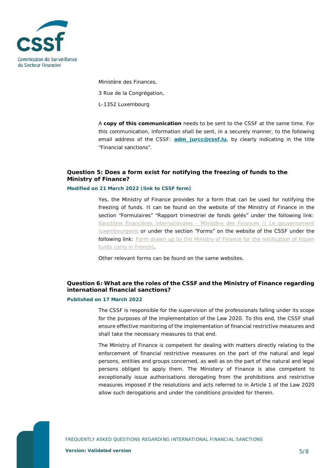

Ministère des Finances,

3 Rue de la Congrégation,

L-1352 Luxembourg

A **copy of this communication** needs to be sent to the CSSF at the same time. For this communication, information shall be sent, in a securely manner, to the following email address of the CSSF: **[adm\\_jurcc@cssf.lu](mailto:adm_jurcc@cssf.lu)**, by clearly indicating in the title "Financial sanctions".

### <span id="page-4-0"></span>**Question 5: Does a form exist for notifying the freezing of funds to the Ministry of Finance?**

#### **Modified on 21 March 2022 (link to CSSF form)**

Yes, the Ministry of Finance provides for a form that can be used for notifying the freezing of funds. It can be found on the website of the Ministry of Finance in the section "Formulaires" "Rapport trimestriel de fonds gelés" under the following link: [Sanctions financières internationales -](https://mfin.gouvernement.lu/fr/dossiers/2018/sanctions-financiaires-internationales.html) Ministère des Finances // Le gouvernement [luxembourgeois](https://mfin.gouvernement.lu/fr/dossiers/2018/sanctions-financiaires-internationales.html) or under the section "Forms" on the website of the CSSF under the following link: Form drawn up by the Ministry of Finance for the notification of frozen [funds \(only in French\).](https://www.cssf.lu/en/Document/form-drawn-up-by-the-ministry-of-finance-for-the-notification-of-frozen-funds/)

Other relevant forms can be found on the same websites.

### <span id="page-4-1"></span>**Question 6: What are the roles of the CSSF and the Ministry of Finance regarding international financial sanctions?**

#### **Published on 17 March 2022**

The CSSF is responsible for the supervision of the professionals falling under its scope for the purposes of the implementation of the Law 2020. To this end, the CSSF shall ensure effective monitoring of the implementation of financial restrictive measures and shall take the necessary measures to that end.

The Ministry of Finance is competent for dealing with matters directly relating to the enforcement of financial restrictive measures on the part of the natural and legal persons, entities and groups concerned, as well as on the part of the natural and legal persons obliged to apply them. The Ministery of Finance is also competent to exceptionally issue authorisations derogating from the prohibitions and restrictive measures imposed if the resolutions and acts referred to in Article 1 of the Law 2020 allow such derogations and under the conditions provided for therein.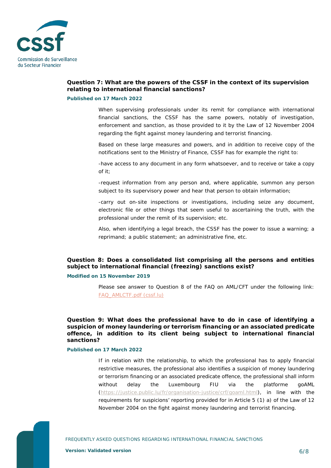

### <span id="page-5-0"></span>**Question 7: What are the powers of the CSSF in the context of its supervision relating to international financial sanctions?**

#### **Published on 17 March 2022**

When supervising professionals under its remit for compliance with international financial sanctions, the CSSF has the same powers, notably of investigation, enforcement and sanction, as those provided to it by the Law of 12 November 2004 regarding the fight against money laundering and terrorist financing.

Based on these large measures and powers, and in addition to receive copy of the notifications sent to the Ministry of Finance, CSSF has for example the right to:

-have access to any document in any form whatsoever, and to receive or take a copy of it;

-request information from any person and, where applicable, summon any person subject to its supervisory power and hear that person to obtain information;

-carry out on-site inspections or investigations, including seize any document, electronic file or other things that seem useful to ascertaining the truth, with the professional under the remit of its supervision; etc.

Also, when identifying a legal breach, the CSSF has the power to issue a warning; a reprimand; a public statement; an administrative fine, etc.

### <span id="page-5-1"></span>**Question 8: Does a consolidated list comprising all the persons and entities subject to international financial (freezing) sanctions exist?**

#### **Modified on 15 November 2019**

Please see answer to Question 8 of the FAQ on AML/CFT under the following link: [FAQ\\_AMLCTF.pdf \(cssf.lu\)](https://www.cssf.lu/wp-content/uploads/FAQ_AMLCTF.pdf)

<span id="page-5-2"></span>**Question 9: What does the professional have to do in case of identifying a suspicion of money laundering or terrorism financing or an associated predicate offence, in addition to its client being subject to international financial sanctions?**

#### **Published on 17 March 2022**

If in relation with the relationship, to which the professional has to apply financial restrictive measures, the professional also identifies a suspicion of money laundering or terrorism financing or an associated predicate offence, the professional shall inform without delay the Luxembourg FIU via the platforme goAML [\(https://justice.public.lu/fr/organisation-justice/crf/goaml.html\)](https://justice.public.lu/fr/organisation-justice/crf/goaml.html), in line with the requirements for suspicions' reporting provided for in Article 5 (1) a) of the Law of 12 November 2004 on the fight against money laundering and terrorist financing.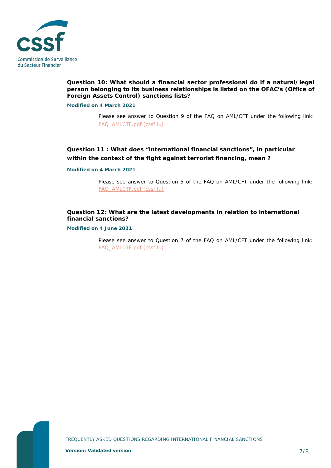

### <span id="page-6-0"></span>**Question 10: What should a financial sector professional do if a natural/legal person belonging to its business relationships is listed on the OFAC's (Office of Foreign Assets Control) sanctions lists?**

**Modified on 4 March 2021**

Please see answer to Question 9 of the FAQ on AML/CFT under the following link: [FAQ\\_AMLCTF.pdf \(cssf.lu\)](https://www.cssf.lu/wp-content/uploads/FAQ_AMLCTF.pdf)

### <span id="page-6-1"></span>**Question 11 : What does "international financial sanctions", in particular within the context of the fight against terrorist financing, mean ?**

**Modified on 4 March 2021**

Please see answer to Question 5 of the FAQ on AML/CFT under the following link: [FAQ\\_AMLCTF.pdf \(cssf.lu\)](https://www.cssf.lu/wp-content/uploads/FAQ_AMLCTF.pdf)

### <span id="page-6-2"></span>**Question 12: What are the latest developments in relation to international financial sanctions?**

**Modified on 4 June 2021**

Please see answer to Question 7 of the FAQ on AML/CFT under the following link: [FAQ\\_AMLCTF.pdf \(cssf.lu\)](https://www.cssf.lu/wp-content/uploads/FAQ_AMLCTF.pdf)